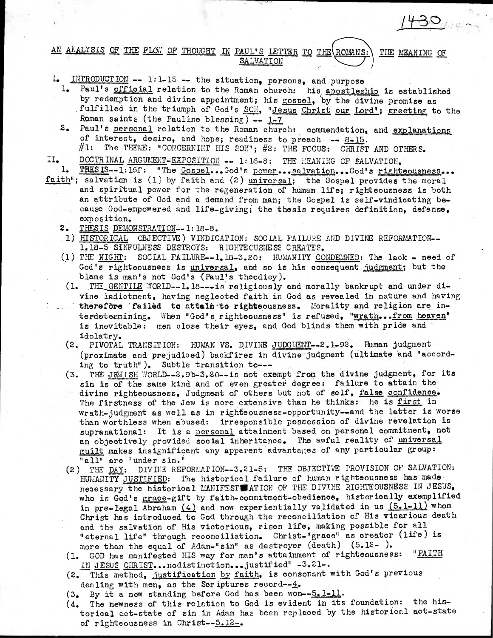## AN ANALYSIS OF THE FLOW OF THOUGHT IN PAUL'S LETTER TO THE ROMANS: THE MEANING OF SALVATION

- $INTRODUCTION$  -- 1:1-15 -- the situation, persons, and purpose
	- 1. Paul's official relation to the Roman church: his apostleship is established by redemption and divine appointment; his gospel, by the divine promise as fulfilled in the triumph of God's SON, "Jesus Christ our Lord"; greeting to the Roman saints (the Pauline blessing)  $- 1-7$

 $430<sub>14</sub>$ 

- 2. Paul's personal relation to the Roman church: commendation, and explanations of interest, desire, and hope; readiness to preach -- 8-15.  $\#1:$  The THEME: "CONCERNINT HIS SON";  $\#2:$  THE FOCUS: CHRIST AND OTHERS.
- $II_{\bullet}$ DOCTRINAL ARGUMENT-EXPOSITION -- 1:16-8: THE MEANING OF SALVATION.
- THESIS--1:16f: "The Cospel...God's power...salvation...God's righteousness... faith"; salvation is (1) by faith and (2) universal; the Gospel provides the moral and spiritual power for the regeneration of human life; righteousness is both an attribute of God and a demand from man; the Gospel is self-vindicating be- . cause God-empowered and life-giving; the thesis requires definition, defense, exposition.
	- 2. THESIS DEMONSTRATION--1:18-8.
	- 1) HISTORICAL OBJECTIVE) VINDICATION: SOCIAL FAILURE AND DIVINE REFORMATION--1,18-5 SINFULNESS DESTROYS: RIGHTEOUSNESS CREATES.
	- (1) THE NIGHT: SOCIAL FAILURE--1.18-3.20: HUMANITY CONDEMNED: The lack  $\sim$  need of God's righteousness is universal, and so is his consequent judgment; but the blame is man's not God's (Paul's theodicy).
	- (1. THE GENTILE WORLD--1.18---1s religiously and morally bankrupt and under divine indictment, having neglected faith in God as revealed in nature and having **• therefore 'failed to attain - to righteousness. Morality and religion are in**terdetermining. When "God's righteousness" is refused, "wrath...from heaven" is inevitable: men close their eyes, and God blinds them with pride and idolatry.
	- (2. PIVOTAL TRANSITION: HUMAN VS. DIVINE JUDGMENT--2.1-92. Human judgment (proximate and prejudiced) backfires in divine judgment (ultimate 'and "according to truth"). Subtle transition to---
	- (3. THE JEWISH WORLD--2.9b-3.20--is not exempt from the divine judgment, for its sin is of the same kind and of even greater degree: failure to attain the divine righteousness, Judgment of others but not of self, false confidence. The firstness of the Jew is more extensive than he thinks: he is first in wrath-judgment as well as in righteousness-opportunity—and the latter is worse than worthless when abused: irresponsible possession of divine revelation is supranational: It is a personal attainment based on personal commitment, not an objectively provided social inheritance. The awful reality of universal guilt makes insignificant any apparent advantages of any particular group: "all" are "under sin."
	- (2) THE DAY: DIVINE REFORMATION--3.21-5: THE OBJECTIVE PROVISION OF SALVATION: HUMANITY JUSTIFIED: The historical failure of human righteousness has made necessary the historical MANIFESTWATION OF THE DIVINE RIGHTEOUSNESS IN JESUS, who is God's grace-gift by faith-commitment-obedience, historically exemplified in pre-legal Abraham  $(4)$  and now experientially validated in us  $(5.1-11)$  whom Christ has introduced to God through the reconciliation of His vicarious death and the salvation of His victorious, risen life, making possible for all "eternal life" through reconciliation. Christ-"grace" as creator (life) is more than the equal of Adam-"sin" as destroyer (death) (5.12- ).
	- (1. GOD has manifested HIS way for man's attainment of righteousness: "FAITH IN JESUS OHRIST...nodistinction...justified" -3.21-.
	- (2. This method, justification by faith, is consonant with God's previous dealing with men, as the Scriptures record--4.
	-
	- (3. By it a new standing before God has been won--5.1-11.  $(4.$  The newness of this relation to God is evident in its The newness of this relation to God is evident in its foundation: the historioal act-state of sin in Adam has been replaced by the historical act-state of righteousness in Christ--5.12-.